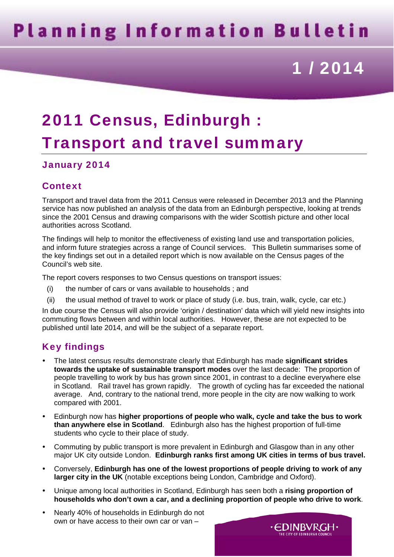# **Planning Information Bulletin**

# 1 / 2014

## 2011 Census, Edinburgh : Transport and travel summary

#### January 2014

### Context

Transport and travel data from the 2011 Census were released in December 2013 and the Planning service has now published an analysis of the data from an Edinburgh perspective, looking at trends since the 2001 Census and drawing comparisons with the wider Scottish picture and other local authorities across Scotland.

The findings will help to monitor the effectiveness of existing land use and transportation policies, and inform future strategies across a range of Council services. This Bulletin summarises some of the key findings set out in a detailed report which is now available on the Census pages of the Council's web site.

The report covers responses to two Census questions on transport issues:

- (i) the number of cars or vans available to households ; and
- (ii) the usual method of travel to work or place of study (i.e. bus, train, walk, cycle, car etc.)

In due course the Census will also provide 'origin / destination' data which will yield new insights into commuting flows between and within local authorities. However, these are not expected to be published until late 2014, and will be the subject of a separate report.

### Key findings

- The latest census results demonstrate clearly that Edinburgh has made **significant strides towards the uptake of sustainable transport modes** over the last decade: The proportion of people travelling to work by bus has grown since 2001, in contrast to a decline everywhere else in Scotland. Rail travel has grown rapidly. The growth of cycling has far exceeded the national average. And, contrary to the national trend, more people in the city are now walking to work compared with 2001.
- Edinburgh now has **higher proportions of people who walk, cycle and take the bus to work than anywhere else in Scotland**. Edinburgh also has the highest proportion of full-time students who cycle to their place of study.
- Commuting by public transport is more prevalent in Edinburgh and Glasgow than in any other major UK city outside London. **Edinburgh ranks first among UK cities in terms of bus travel.**
- Conversely, **Edinburgh has one of the lowest proportions of people driving to work of any larger city in the UK** (notable exceptions being London, Cambridge and Oxford).
- Unique among local authorities in Scotland, Edinburgh has seen both a **rising proportion of households who don't own a car, and a declining proportion of people who drive to work**.

∙EDINBVRGH∙ THE CITY OF EDINBURGH COUNCI

Nearly 40% of households in Edinburgh do not own or have access to their own car or van –